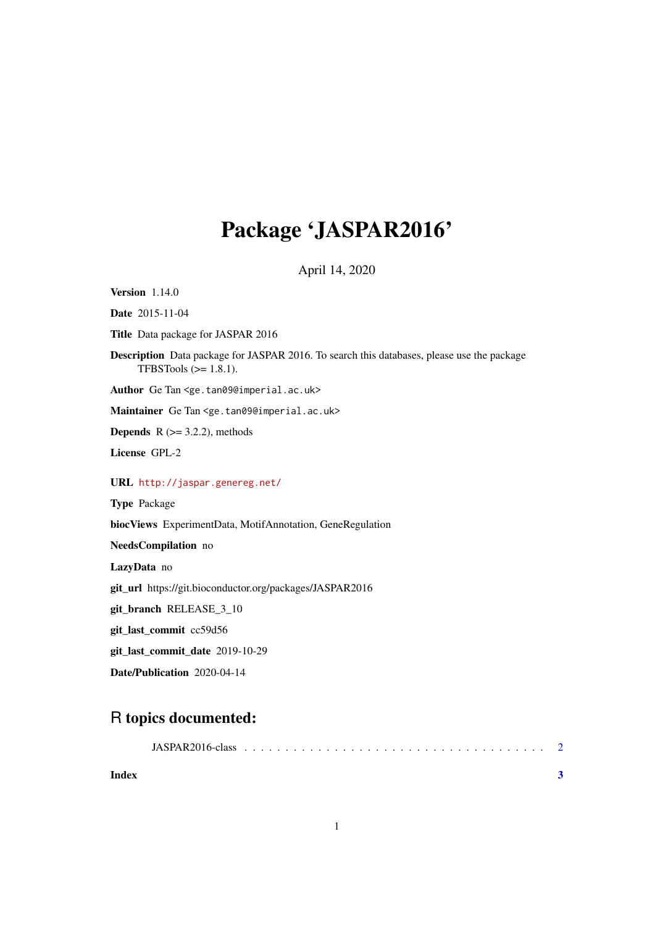## Package 'JASPAR2016'

April 14, 2020

**Version** 1.14.0 Date 2015-11-04 Title Data package for JASPAR 2016 Description Data package for JASPAR 2016. To search this databases, please use the package TFBSTools  $(>= 1.8.1)$ . Author Ge Tan <ge.tan09@imperial.ac.uk> Maintainer Ge Tan <ge.tan09@imperial.ac.uk> **Depends**  $R$  ( $>= 3.2.2$ ), methods License GPL-2 URL <http://jaspar.genereg.net/> Type Package biocViews ExperimentData, MotifAnnotation, GeneRegulation NeedsCompilation no LazyData no git\_url https://git.bioconductor.org/packages/JASPAR2016 git\_branch RELEASE\_3\_10 git\_last\_commit cc59d56 git last commit date 2019-10-29 Date/Publication 2020-04-14

### R topics documented:

| Index |  |  |
|-------|--|--|
|       |  |  |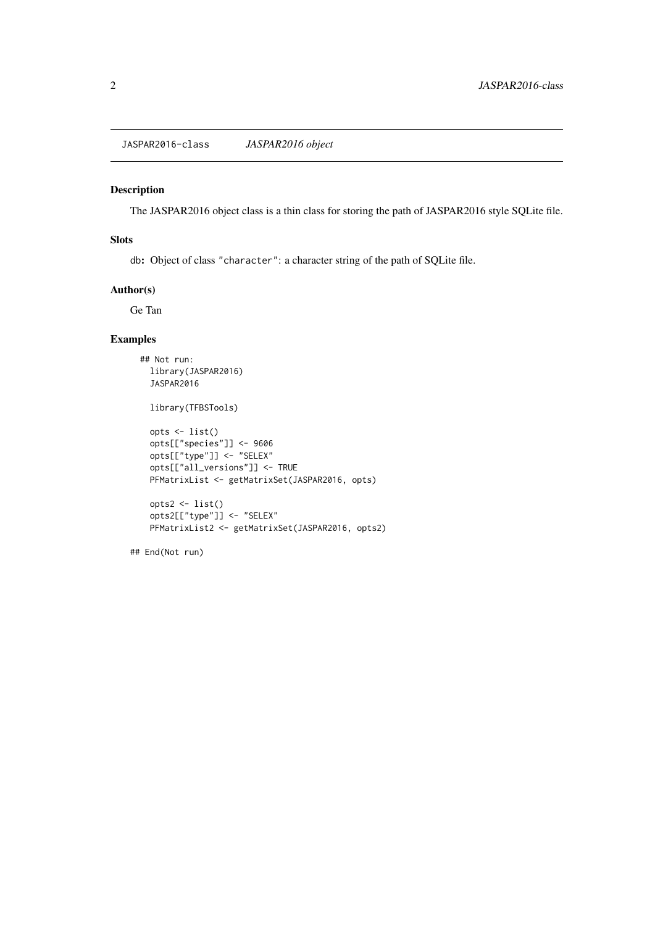<span id="page-1-0"></span>JASPAR2016-class *JASPAR2016 object*

#### Description

The JASPAR2016 object class is a thin class for storing the path of JASPAR2016 style SQLite file.

#### Slots

db: Object of class "character": a character string of the path of SQLite file.

#### Author(s)

Ge Tan

#### Examples

```
## Not run:
library(JASPAR2016)
JASPAR2016
library(TFBSTools)
opts <- list()
opts[["species"]] <- 9606
opts[["type"]] <- "SELEX"
opts[["all_versions"]] <- TRUE
PFMatrixList <- getMatrixSet(JASPAR2016, opts)
opts2 <- list()
opts2[["type"]] <- "SELEX"
PFMatrixList2 <- getMatrixSet(JASPAR2016, opts2)
```
## End(Not run)